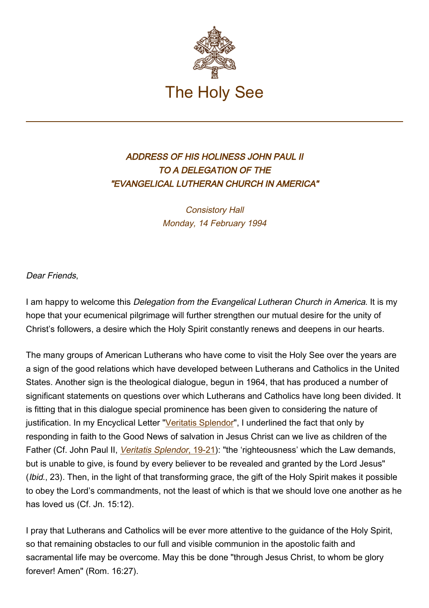

## ADDRESS OF HIS HOLINESS JOHN PAUL II TO A DELEGATION OF THE "EVANGELICAL LUTHERAN CHURCH IN AMERICA"

Consistory Hall Monday, 14 February 1994

Dear Friends,

I am happy to welcome this Delegation from the Evangelical Lutheran Church in America. It is my hope that your ecumenical pilgrimage will further strengthen our mutual desire for the unity of Christ's followers, a desire which the Holy Spirit constantly renews and deepens in our hearts.

The many groups of American Lutherans who have come to visit the Holy See over the years are a sign of the good relations which have developed between Lutherans and Catholics in the United States. Another sign is the theological dialogue, begun in 1964, that has produced a number of significant statements on questions over which Lutherans and Catholics have long been divided. It is fitting that in this dialogue special prominence has been given to considering the nature of justification. In my Encyclical Letter ["Veritatis Splendor](http://www.vatican.va/edocs/ENG0222/_INDEX.HTM)", I underlined the fact that only by responding in faith to the Good News of salvation in Jesus Christ can we live as children of the Father (Cf. John Paul II, *Veritatis Splendor*[, 19-21\)](http://www.vatican.va/edocs/ENG0222/__P3.HTM): "the 'righteousness' which the Law demands, but is unable to give, is found by every believer to be revealed and granted by the Lord Jesus" (Ibid., 23). Then, in the light of that transforming grace, the gift of the Holy Spirit makes it possible to obey the Lord's commandments, not the least of which is that we should love one another as he has loved us (Cf. Jn. 15:12).

I pray that Lutherans and Catholics will be ever more attentive to the guidance of the Holy Spirit, so that remaining obstacles to our full and visible communion in the apostolic faith and sacramental life may be overcome. May this be done "through Jesus Christ, to whom be glory forever! Amen" (Rom. 16:27).